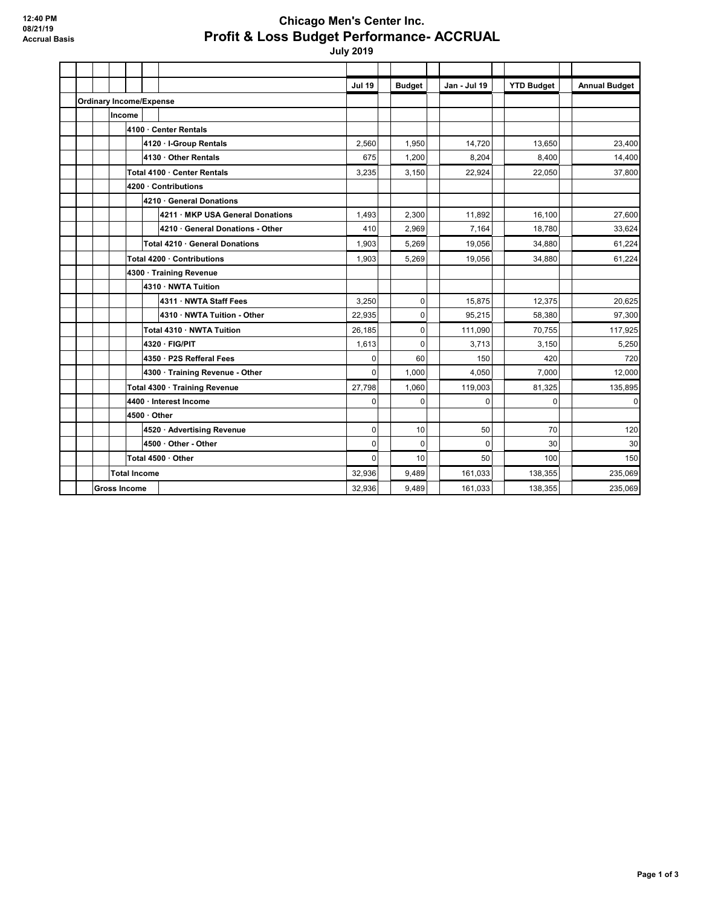## **Chicago Men's Center Inc. Profit & Loss Budget Performance- ACCRUAL**

 **July 2019**

|                                |                     |              |                          |                                  | <b>Jul 19</b> | <b>Budget</b> | Jan - Jul 19   | <b>YTD Budget</b> | <b>Annual Budget</b> |
|--------------------------------|---------------------|--------------|--------------------------|----------------------------------|---------------|---------------|----------------|-------------------|----------------------|
| <b>Ordinary Income/Expense</b> |                     |              |                          |                                  |               |               |                |                   |                      |
|                                |                     | Income       |                          |                                  |               |               |                |                   |                      |
|                                |                     |              |                          | 4100 · Center Rentals            |               |               |                |                   |                      |
|                                |                     |              |                          | 4120 · I-Group Rentals           | 2,560         | 1.950         | 14.720         | 13.650            | 23,400               |
|                                |                     |              |                          | 4130 · Other Rentals             | 675           | 1,200         | 8.204          | 8,400             | 14,400               |
|                                |                     |              |                          | Total 4100 · Center Rentals      | 3,235         | 3,150         | 22,924         | 22,050            | 37,800               |
|                                |                     |              |                          | 4200 · Contributions             |               |               |                |                   |                      |
|                                |                     |              | 4210 · General Donations |                                  |               |               |                |                   |                      |
|                                |                     |              |                          | 4211 · MKP USA General Donations | 1,493         | 2,300         | 11.892         | 16.100            | 27,600               |
|                                |                     |              |                          | 4210 · General Donations - Other | 410           | 2,969         | 7.164          | 18,780            | 33,624               |
|                                |                     |              |                          | Total 4210 · General Donations   | 1,903         | 5,269         | 19,056         | 34,880            | 61,224               |
|                                |                     |              |                          | Total 4200 · Contributions       | 1,903         | 5,269         | 19,056         | 34,880            | 61,224               |
|                                |                     |              |                          | 4300 · Training Revenue          |               |               |                |                   |                      |
|                                |                     |              | 4310 · NWTA Tuition      |                                  |               |               |                |                   |                      |
|                                |                     |              |                          | 4311 · NWTA Staff Fees           | 3,250         | $\mathbf 0$   | 15.875         | 12.375            | 20,625               |
|                                |                     |              |                          | 4310 · NWTA Tuition - Other      | 22,935        | $\mathbf 0$   | 95.215         | 58,380            | 97,300               |
|                                |                     |              |                          | Total 4310 · NWTA Tuition        | 26,185        | $\mathbf 0$   | 111,090        | 70,755            | 117,925              |
|                                |                     |              | 4320 · FIG/PIT           |                                  | 1,613         | $\mathbf 0$   | 3,713          | 3,150             | 5,250                |
|                                |                     |              |                          | 4350 · P2S Refferal Fees         | 0             | 60            | 150            | 420               | 720                  |
|                                |                     |              |                          | 4300 · Training Revenue - Other  | $\Omega$      | 1.000         | 4.050          | 7.000             | 12,000               |
|                                |                     |              |                          | Total 4300 · Training Revenue    | 27,798        | 1,060         | 119,003        | 81,325            | 135,895              |
|                                |                     |              |                          | 4400 · Interest Income           | $\Omega$      | $\Omega$      | $\overline{0}$ | $\Omega$          | $\mathbf 0$          |
|                                |                     | 4500 · Other |                          |                                  |               |               |                |                   |                      |
|                                |                     |              |                          | 4520 · Advertising Revenue       | $\mathbf 0$   | 10            | 50             | 70                | 120                  |
|                                |                     |              |                          | 4500 Other - Other               | $\Omega$      | $\Omega$      | $\overline{0}$ | 30                | 30                   |
|                                |                     |              | Total 4500 · Other       | 0                                | 10            | 50            | 100            | 150               |                      |
| <b>Total Income</b>            |                     |              |                          |                                  | 32,936        | 9,489         | 161,033        | 138.355           | 235,069              |
|                                | <b>Gross Income</b> |              |                          |                                  | 32.936        | 9.489         | 161,033        | 138,355           | 235,069              |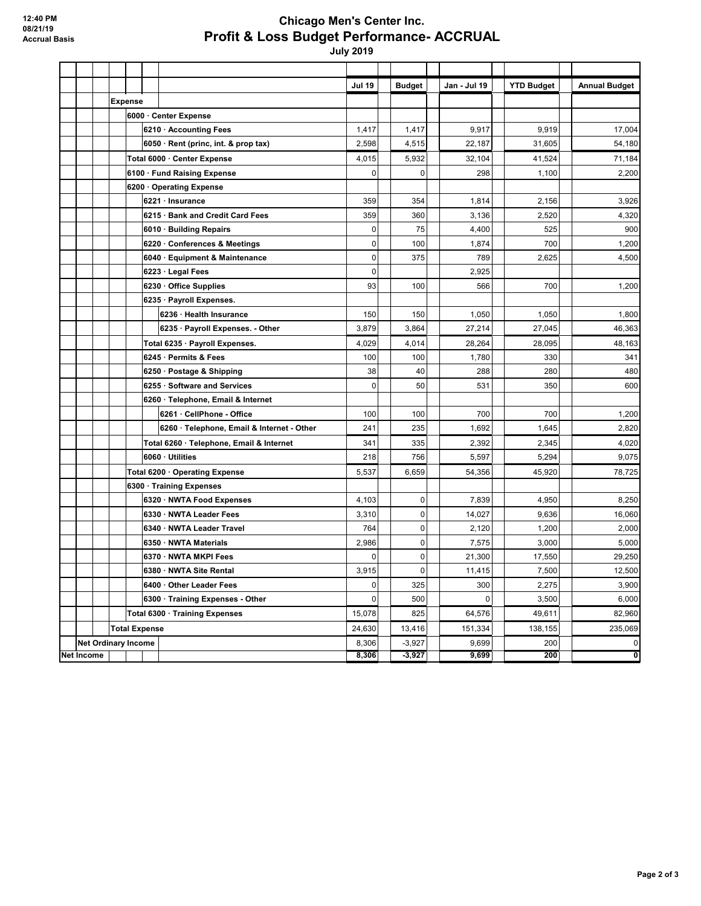## **Chicago Men's Center Inc. Profit & Loss Budget Performance- ACCRUAL**

 **July 2019**

|            |                      |  |                            |                                            | <b>Jul 19</b> | <b>Budget</b> | Jan - Jul 19 | <b>YTD Budget</b> | <b>Annual Budget</b> |
|------------|----------------------|--|----------------------------|--------------------------------------------|---------------|---------------|--------------|-------------------|----------------------|
|            |                      |  | <b>Expense</b>             |                                            |               |               |              |                   |                      |
|            |                      |  |                            | 6000 · Center Expense                      |               |               |              |                   |                      |
|            |                      |  |                            | 6210 Accounting Fees                       | 1,417         | 1,417         | 9,917        | 9,919             | 17,004               |
|            |                      |  |                            | 6050 · Rent (princ, int. & prop tax)       | 2,598         | 4,515         | 22,187       | 31,605            | 54,180               |
|            |                      |  |                            | Total 6000 · Center Expense                | 4,015         | 5,932         | 32,104       | 41,524            | 71,184               |
|            |                      |  |                            | 6100 · Fund Raising Expense                | 0             | $\mathbf 0$   | 298          | 1,100             | 2,200                |
|            |                      |  |                            | 6200 Operating Expense                     |               |               |              |                   |                      |
|            |                      |  |                            | 6221 · Insurance                           | 359           | 354           | 1,814        | 2,156             | 3,926                |
|            |                      |  |                            | 6215 · Bank and Credit Card Fees           | 359           | 360           | 3,136        | 2,520             | 4,320                |
|            |                      |  |                            | 6010 · Building Repairs                    | 0             | 75            | 4,400        | 525               | 900                  |
|            |                      |  |                            | 6220 · Conferences & Meetings              | $\mathbf{0}$  | 100           | 1,874        | 700               | 1,200                |
|            |                      |  |                            | 6040 · Equipment & Maintenance             | $\mathbf 0$   | 375           | 789          | 2,625             | 4,500                |
|            |                      |  |                            | 6223 · Legal Fees                          | $\mathbf 0$   |               | 2.925        |                   |                      |
|            |                      |  |                            | 6230 Office Supplies                       | 93            | 100           | 566          | 700               | 1,200                |
|            |                      |  |                            | 6235 · Payroll Expenses.                   |               |               |              |                   |                      |
|            |                      |  |                            | 6236 · Health Insurance                    | 150           | 150           | 1,050        | 1,050             | 1,800                |
|            |                      |  |                            | 6235 · Payroll Expenses. - Other           | 3,879         | 3,864         | 27,214       | 27,045            | 46,363               |
|            |                      |  |                            | Total 6235 · Payroll Expenses.             | 4,029         | 4,014         | 28,264       | 28,095            | 48,163               |
|            |                      |  |                            | 6245 Permits & Fees                        | 100           | 100           | 1,780        | 330               | 341                  |
|            |                      |  |                            | 6250 · Postage & Shipping                  | 38            | 40            | 288          | 280               | 480                  |
|            |                      |  |                            | 6255 · Software and Services               | 0             | 50            | 531          | 350               | 600                  |
|            |                      |  |                            | 6260 · Telephone, Email & Internet         |               |               |              |                   |                      |
|            |                      |  |                            | 6261 · CellPhone - Office                  | 100           | 100           | 700          | 700               | 1,200                |
|            |                      |  |                            | 6260 · Telephone, Email & Internet - Other | 241           | 235           | 1,692        | 1,645             | 2,820                |
|            |                      |  |                            | Total 6260 · Telephone, Email & Internet   | 341           | 335           | 2,392        | 2,345             | 4,020                |
|            |                      |  |                            | 6060 Utilities                             | 218           | 756           | 5,597        | 5,294             | 9,075                |
|            |                      |  |                            | Total 6200 · Operating Expense             | 5,537         | 6,659         | 54,356       | 45,920            | 78,725               |
|            |                      |  |                            | 6300 · Training Expenses                   |               |               |              |                   |                      |
|            |                      |  |                            | 6320 · NWTA Food Expenses                  | 4,103         | $\pmb{0}$     | 7,839        | 4,950             | 8,250                |
|            |                      |  |                            | 6330 NWTA Leader Fees                      | 3,310         | $\mathbf 0$   | 14,027       | 9,636             | 16,060               |
|            |                      |  |                            | 6340 · NWTA Leader Travel                  | 764           | $\mathbf 0$   | 2,120        | 1,200             | 2,000                |
|            |                      |  |                            | 6350 NWTA Materials                        | 2,986         | $\mathbf 0$   | 7,575        | 3,000             | 5,000                |
|            |                      |  |                            | 6370 · NWTA MKPI Fees                      | 0             | $\mathbf 0$   | 21,300       | 17,550            | 29,250               |
|            |                      |  |                            | 6380 · NWTA Site Rental                    | 3,915         | $\mathbf 0$   | 11,415       | 7,500             | 12,500               |
|            |                      |  |                            | 6400 Other Leader Fees                     | 0             | 325           | 300          | 2,275             | 3,900                |
|            |                      |  |                            | 6300 · Training Expenses - Other           | $\Omega$      | 500           | 0            | 3,500             | 6,000                |
|            |                      |  |                            | Total 6300 · Training Expenses             | 15,078        | 825           | 64,576       | 49,611            | 82,960               |
|            | <b>Total Expense</b> |  |                            |                                            | 24,630        | 13,416        | 151,334      | 138,155           | 235,069              |
|            |                      |  | <b>Net Ordinary Income</b> |                                            | 8,306         | $-3,927$      | 9,699        | 200               | $\pmb{0}$            |
| Net Income |                      |  |                            |                                            | 8,306         | $-3,927$      | 9,699        | 200               | ō                    |